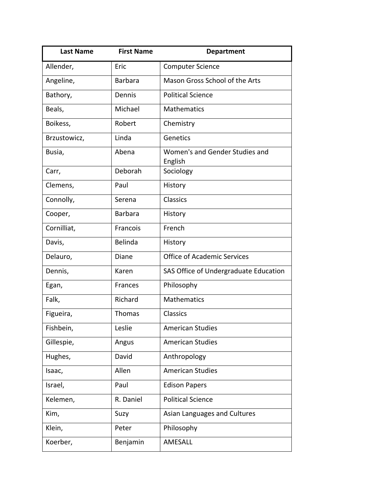| <b>Last Name</b> | <b>First Name</b> | <b>Department</b>                         |
|------------------|-------------------|-------------------------------------------|
| Allender,        | Eric              | <b>Computer Science</b>                   |
| Angeline,        | <b>Barbara</b>    | Mason Gross School of the Arts            |
| Bathory,         | Dennis            | <b>Political Science</b>                  |
| Beals,           | Michael           | Mathematics                               |
| Boikess,         | Robert            | Chemistry                                 |
| Brzustowicz,     | Linda             | Genetics                                  |
| Busia,           | Abena             | Women's and Gender Studies and<br>English |
| Carr,            | Deborah           | Sociology                                 |
| Clemens,         | Paul              | History                                   |
| Connolly,        | Serena            | Classics                                  |
| Cooper,          | <b>Barbara</b>    | History                                   |
| Cornilliat,      | Francois          | French                                    |
| Davis,           | Belinda           | History                                   |
| Delauro,         | Diane             | <b>Office of Academic Services</b>        |
| Dennis,          | Karen             | SAS Office of Undergraduate Education     |
| Egan,            | Frances           | Philosophy                                |
| Falk,            | Richard           | <b>Mathematics</b>                        |
| Figueira,        | Thomas            | Classics                                  |
| Fishbein,        | Leslie            | <b>American Studies</b>                   |
| Gillespie,       | Angus             | <b>American Studies</b>                   |
| Hughes,          | David             | Anthropology                              |
| Isaac,           | Allen             | <b>American Studies</b>                   |
| Israel,          | Paul              | <b>Edison Papers</b>                      |
| Kelemen,         | R. Daniel         | <b>Political Science</b>                  |
| Kim,             | Suzy              | Asian Languages and Cultures              |
| Klein,           | Peter             | Philosophy                                |
| Koerber,         | Benjamin          | AMESALL                                   |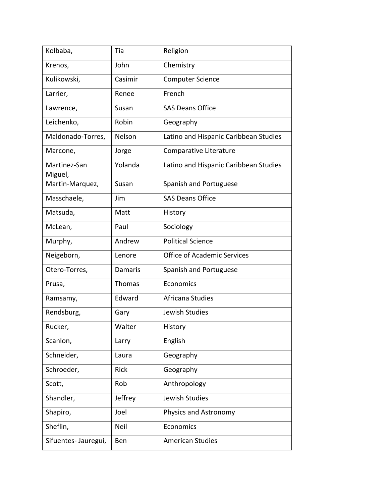| Kolbaba,                | Tia            | Religion                              |
|-------------------------|----------------|---------------------------------------|
| Krenos,                 | John           | Chemistry                             |
| Kulikowski,             | Casimir        | <b>Computer Science</b>               |
| Larrier,                | Renee          | French                                |
| Lawrence,               | Susan          | <b>SAS Deans Office</b>               |
| Leichenko,              | Robin          | Geography                             |
| Maldonado-Torres,       | Nelson         | Latino and Hispanic Caribbean Studies |
| Marcone,                | Jorge          | Comparative Literature                |
| Martinez-San<br>Miguel, | Yolanda        | Latino and Hispanic Caribbean Studies |
| Martin-Marquez,         | Susan          | Spanish and Portuguese                |
| Masschaele,             | Jim            | <b>SAS Deans Office</b>               |
| Matsuda,                | Matt           | History                               |
| McLean,                 | Paul           | Sociology                             |
| Murphy,                 | Andrew         | <b>Political Science</b>              |
| Neigeborn,              | Lenore         | <b>Office of Academic Services</b>    |
| Otero-Torres,           | <b>Damaris</b> | Spanish and Portuguese                |
| Prusa,                  | Thomas         | Economics                             |
| Ramsamy,                | Edward         | Africana Studies                      |
| Rendsburg,              | Gary           | Jewish Studies                        |
| Rucker,                 | Walter         | History                               |
| Scanlon,                | Larry          | English                               |
| Schneider,              | Laura          | Geography                             |
| Schroeder,              | Rick           | Geography                             |
| Scott,                  | Rob            | Anthropology                          |
| Shandler,               | Jeffrey        | Jewish Studies                        |
| Shapiro,                | Joel           | Physics and Astronomy                 |
| Sheflin,                | Neil           | Economics                             |
| Sifuentes- Jauregui,    | Ben            | <b>American Studies</b>               |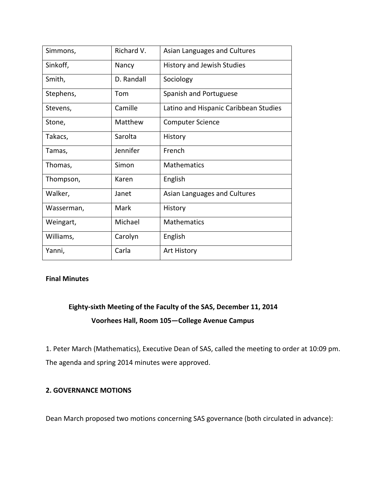| Simmons,   | Richard V. | Asian Languages and Cultures          |
|------------|------------|---------------------------------------|
| Sinkoff,   | Nancy      | History and Jewish Studies            |
| Smith,     | D. Randall | Sociology                             |
| Stephens,  | Tom        | Spanish and Portuguese                |
| Stevens,   | Camille    | Latino and Hispanic Caribbean Studies |
| Stone,     | Matthew    | <b>Computer Science</b>               |
| Takacs,    | Sarolta    | History                               |
| Tamas,     | Jennifer   | French                                |
| Thomas,    | Simon      | <b>Mathematics</b>                    |
| Thompson,  | Karen      | English                               |
| Walker,    | Janet      | Asian Languages and Cultures          |
| Wasserman, | Mark       | History                               |
| Weingart,  | Michael    | <b>Mathematics</b>                    |
| Williams,  | Carolyn    | English                               |
| Yanni,     | Carla      | Art History                           |

# **Final Minutes**

# **Eighty‐sixth Meeting of the Faculty of the SAS, December 11, 2014 Voorhees Hall, Room 105—College Avenue Campus**

1. Peter March (Mathematics), Executive Dean of SAS, called the meeting to order at 10:09 pm. The agenda and spring 2014 minutes were approved.

# **2. GOVERNANCE MOTIONS**

Dean March proposed two motions concerning SAS governance (both circulated in advance):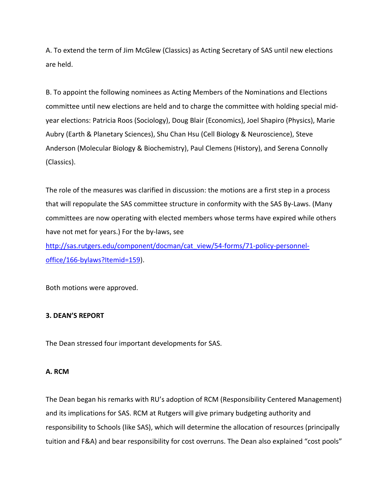A. To extend the term of Jim McGlew (Classics) as Acting Secretary of SAS until new elections are held.

B. To appoint the following nominees as Acting Members of the Nominations and Elections committee until new elections are held and to charge the committee with holding special mid‐ year elections: Patricia Roos (Sociology), Doug Blair (Economics), Joel Shapiro (Physics), Marie Aubry (Earth & Planetary Sciences), Shu Chan Hsu (Cell Biology & Neuroscience), Steve Anderson (Molecular Biology & Biochemistry), Paul Clemens (History), and Serena Connolly (Classics).

The role of the measures was clarified in discussion: the motions are a first step in a process that will repopulate the SAS committee structure in conformity with the SAS By‐Laws. (Many committees are now operating with elected members whose terms have expired while others have not met for years.) For the by-laws, see

http://sas.rutgers.edu/component/docman/cat\_view/54-forms/71-policy-personneloffice/166‐bylaws?Itemid=159).

Both motions were approved.

# **3. DEAN'S REPORT**

The Dean stressed four important developments for SAS.

# **A. RCM**

The Dean began his remarks with RU's adoption of RCM (Responsibility Centered Management) and its implications for SAS. RCM at Rutgers will give primary budgeting authority and responsibility to Schools (like SAS), which will determine the allocation of resources (principally tuition and F&A) and bear responsibility for cost overruns. The Dean also explained "cost pools"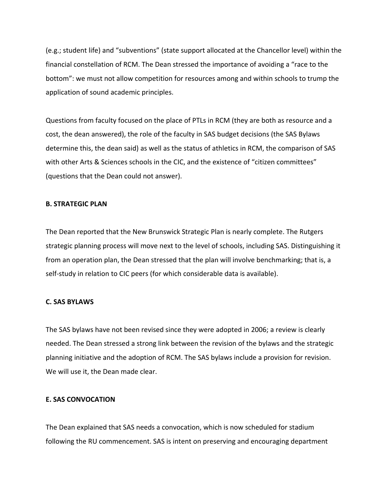(e.g.; student life) and "subventions" (state support allocated at the Chancellor level) within the financial constellation of RCM. The Dean stressed the importance of avoiding a "race to the bottom": we must not allow competition for resources among and within schools to trump the application of sound academic principles.

Questions from faculty focused on the place of PTLs in RCM (they are both as resource and a cost, the dean answered), the role of the faculty in SAS budget decisions (the SAS Bylaws determine this, the dean said) as well as the status of athletics in RCM, the comparison of SAS with other Arts & Sciences schools in the CIC, and the existence of "citizen committees" (questions that the Dean could not answer).

## **B. STRATEGIC PLAN**

The Dean reported that the New Brunswick Strategic Plan is nearly complete. The Rutgers strategic planning process will move next to the level of schools, including SAS. Distinguishing it from an operation plan, the Dean stressed that the plan will involve benchmarking; that is, a self-study in relation to CIC peers (for which considerable data is available).

### **C. SAS BYLAWS**

The SAS bylaws have not been revised since they were adopted in 2006; a review is clearly needed. The Dean stressed a strong link between the revision of the bylaws and the strategic planning initiative and the adoption of RCM. The SAS bylaws include a provision for revision. We will use it, the Dean made clear.

## **E. SAS CONVOCATION**

The Dean explained that SAS needs a convocation, which is now scheduled for stadium following the RU commencement. SAS is intent on preserving and encouraging department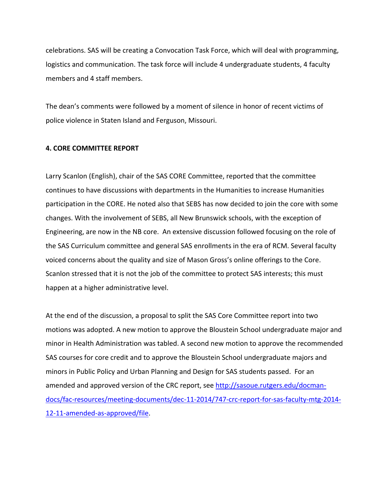celebrations. SAS will be creating a Convocation Task Force, which will deal with programming, logistics and communication. The task force will include 4 undergraduate students, 4 faculty members and 4 staff members.

The dean's comments were followed by a moment of silence in honor of recent victims of police violence in Staten Island and Ferguson, Missouri.

### **4. CORE COMMITTEE REPORT**

Larry Scanlon (English), chair of the SAS CORE Committee, reported that the committee continues to have discussions with departments in the Humanities to increase Humanities participation in the CORE. He noted also that SEBS has now decided to join the core with some changes. With the involvement of SEBS, all New Brunswick schools, with the exception of Engineering, are now in the NB core. An extensive discussion followed focusing on the role of the SAS Curriculum committee and general SAS enrollments in the era of RCM. Several faculty voiced concerns about the quality and size of Mason Gross's online offerings to the Core. Scanlon stressed that it is not the job of the committee to protect SAS interests; this must happen at a higher administrative level.

At the end of the discussion, a proposal to split the SAS Core Committee report into two motions was adopted. A new motion to approve the Bloustein School undergraduate major and minor in Health Administration was tabled. A second new motion to approve the recommended SAS courses for core credit and to approve the Bloustein School undergraduate majors and minors in Public Policy and Urban Planning and Design for SAS students passed. For an amended and approved version of the CRC report, see http://sasoue.rutgers.edu/docmandocs/fac‐resources/meeting‐documents/dec‐11‐2014/747‐crc‐report‐for‐sas‐faculty‐mtg‐2014‐ 12-11-amended-as-approved/file.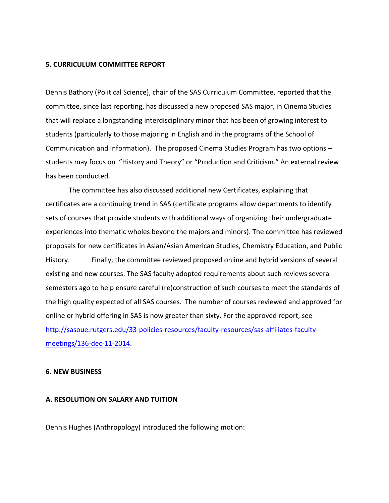#### **5. CURRICULUM COMMITTEE REPORT**

Dennis Bathory (Political Science), chair of the SAS Curriculum Committee, reported that the committee, since last reporting, has discussed a new proposed SAS major, in Cinema Studies that will replace a longstanding interdisciplinary minor that has been of growing interest to students (particularly to those majoring in English and in the programs of the School of Communication and Information). The proposed Cinema Studies Program has two options – students may focus on "History and Theory" or "Production and Criticism." An external review has been conducted.

The committee has also discussed additional new Certificates, explaining that certificates are a continuing trend in SAS (certificate programs allow departments to identify sets of courses that provide students with additional ways of organizing their undergraduate experiences into thematic wholes beyond the majors and minors). The committee has reviewed proposals for new certificates in Asian/Asian American Studies, Chemistry Education, and Public History. Finally, the committee reviewed proposed online and hybrid versions of several existing and new courses. The SAS faculty adopted requirements about such reviews several semesters ago to help ensure careful (re)construction of such courses to meet the standards of the high quality expected of all SAS courses. The number of courses reviewed and approved for online or hybrid offering in SAS is now greater than sixty. For the approved report, see http://sasoue.rutgers.edu/33-policies-resources/faculty-resources/sas-affiliates-facultymeetings/136‐dec‐11‐2014.

### **6. NEW BUSINESS**

## **A. RESOLUTION ON SALARY AND TUITION**

Dennis Hughes (Anthropology) introduced the following motion: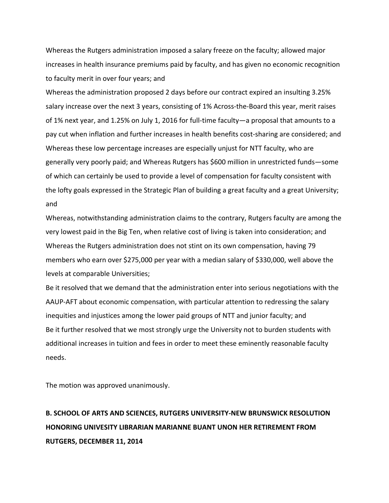Whereas the Rutgers administration imposed a salary freeze on the faculty; allowed major increases in health insurance premiums paid by faculty, and has given no economic recognition to faculty merit in over four years; and

Whereas the administration proposed 2 days before our contract expired an insulting 3.25% salary increase over the next 3 years, consisting of 1% Across-the-Board this year, merit raises of 1% next year, and 1.25% on July 1, 2016 for full‐time faculty—a proposal that amounts to a pay cut when inflation and further increases in health benefits cost‐sharing are considered; and Whereas these low percentage increases are especially unjust for NTT faculty, who are generally very poorly paid; and Whereas Rutgers has \$600 million in unrestricted funds—some of which can certainly be used to provide a level of compensation for faculty consistent with the lofty goals expressed in the Strategic Plan of building a great faculty and a great University; and

Whereas, notwithstanding administration claims to the contrary, Rutgers faculty are among the very lowest paid in the Big Ten, when relative cost of living is taken into consideration; and Whereas the Rutgers administration does not stint on its own compensation, having 79 members who earn over \$275,000 per year with a median salary of \$330,000, well above the levels at comparable Universities;

Be it resolved that we demand that the administration enter into serious negotiations with the AAUP‐AFT about economic compensation, with particular attention to redressing the salary inequities and injustices among the lower paid groups of NTT and junior faculty; and Be it further resolved that we most strongly urge the University not to burden students with additional increases in tuition and fees in order to meet these eminently reasonable faculty needs.

The motion was approved unanimously.

# **B. SCHOOL OF ARTS AND SCIENCES, RUTGERS UNIVERSITY‐NEW BRUNSWICK RESOLUTION HONORING UNIVESITY LIBRARIAN MARIANNE BUANT UNON HER RETIREMENT FROM RUTGERS, DECEMBER 11, 2014**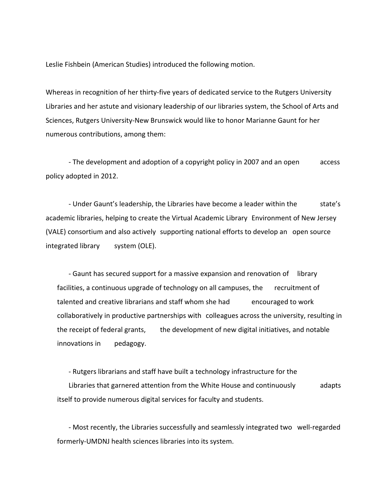Leslie Fishbein (American Studies) introduced the following motion.

Whereas in recognition of her thirty-five years of dedicated service to the Rutgers University Libraries and her astute and visionary leadership of our libraries system, the School of Arts and Sciences, Rutgers University‐New Brunswick would like to honor Marianne Gaunt for her numerous contributions, among them:

 ‐ The development and adoption of a copyright policy in 2007 and an open access policy adopted in 2012.

- Under Gaunt's leadership, the Libraries have become a leader within the state's academic libraries, helping to create the Virtual Academic Library Environment of New Jersey (VALE) consortium and also actively supporting national efforts to develop an open source integrated library system (OLE).

 ‐ Gaunt has secured support for a massive expansion and renovation of library facilities, a continuous upgrade of technology on all campuses, the recruitment of talented and creative librarians and staff whom she had encouraged to work collaboratively in productive partnerships with colleagues across the university, resulting in the receipt of federal grants, the development of new digital initiatives, and notable innovations in pedagogy.

 ‐ Rutgers librarians and staff have built a technology infrastructure for the Libraries that garnered attention from the White House and continuously adapts itself to provide numerous digital services for faculty and students.

 ‐ Most recently, the Libraries successfully and seamlessly integrated two well‐regarded formerly‐UMDNJ health sciences libraries into its system.